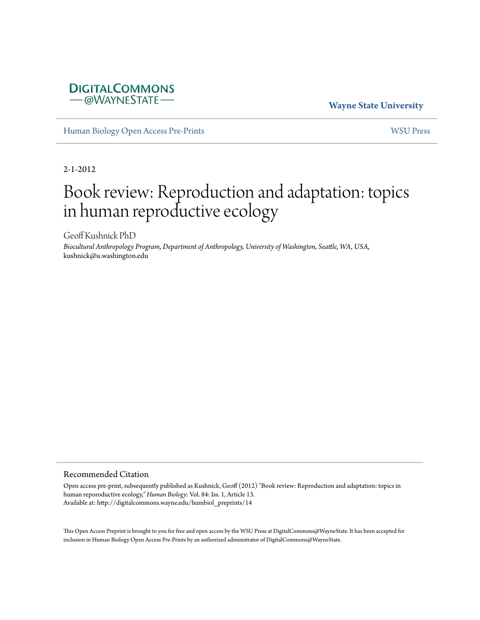## **DIGITALCOMMONS** -@WAYNESTATE-

### **Wayne State University**

[Human Biology Open Access Pre-Prints](http://digitalcommons.wayne.edu/humbiol_preprints) [WSU Press](http://digitalcommons.wayne.edu/wsupress)

2-1-2012

# Book review: Reproduction and adaptation: topics in human reproductive ecology

Geoff Kushnick PhD

*Biocultural Anthropology Program, Department of Anthropology, University of Washington, Seattle, WA, USA*, kushnick@u.washington.edu

#### Recommended Citation

Open access pre-print, subsequently published as Kushnick, Geoff (2012) "Book review: Reproduction and adaptation: topics in human reporoductive ecology," *Human Biology*: Vol. 84: Iss. 1, Article 13. Available at: http://digitalcommons.wayne.edu/humbiol\_preprints/14

This Open Access Preprint is brought to you for free and open access by the WSU Press at DigitalCommons@WayneState. It has been accepted for inclusion in Human Biology Open Access Pre-Prints by an authorized administrator of DigitalCommons@WayneState.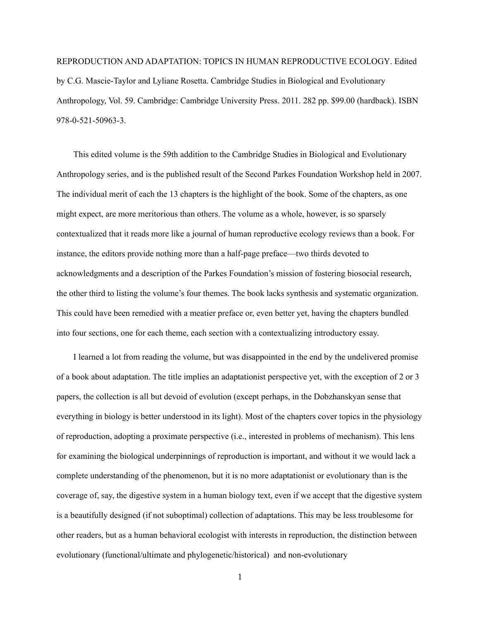REPRODUCTION AND ADAPTATION: TOPICS IN HUMAN REPRODUCTIVE ECOLOGY. Edited by C.G. Mascie-Taylor and Lyliane Rosetta. Cambridge Studies in Biological and Evolutionary Anthropology, Vol. 59. Cambridge: Cambridge University Press. 2011. 282 pp. \$99.00 (hardback). ISBN 978-0-521-50963-3.

This edited volume is the 59th addition to the Cambridge Studies in Biological and Evolutionary Anthropology series, and is the published result of the Second Parkes Foundation Workshop held in 2007. The individual merit of each the 13 chapters is the highlight of the book. Some of the chapters, as one might expect, are more meritorious than others. The volume as a whole, however, is so sparsely contextualized that it reads more like a journal of human reproductive ecology reviews than a book. For instance, the editors provide nothing more than a half-page preface—two thirds devoted to acknowledgments and a description of the Parkes Foundation's mission of fostering biosocial research, the other third to listing the volume's four themes. The book lacks synthesis and systematic organization. This could have been remedied with a meatier preface or, even better yet, having the chapters bundled into four sections, one for each theme, each section with a contextualizing introductory essay.

I learned a lot from reading the volume, but was disappointed in the end by the undelivered promise of a book about adaptation. The title implies an adaptationist perspective yet, with the exception of 2 or 3 papers, the collection is all but devoid of evolution (except perhaps, in the Dobzhanskyan sense that everything in biology is better understood in its light). Most of the chapters cover topics in the physiology of reproduction, adopting a proximate perspective (i.e., interested in problems of mechanism). This lens for examining the biological underpinnings of reproduction is important, and without it we would lack a complete understanding of the phenomenon, but it is no more adaptationist or evolutionary than is the coverage of, say, the digestive system in a human biology text, even if we accept that the digestive system is a beautifully designed (if not suboptimal) collection of adaptations. This may be less troublesome for other readers, but as a human behavioral ecologist with interests in reproduction, the distinction between evolutionary (functional/ultimate and phylogenetic/historical) and non-evolutionary

1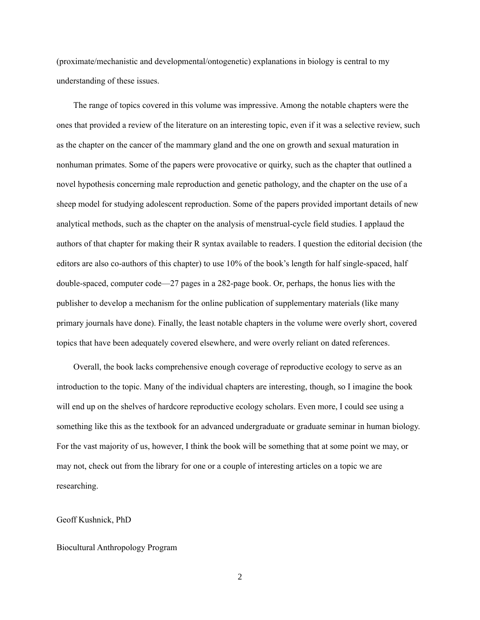(proximate/mechanistic and developmental/ontogenetic) explanations in biology is central to my understanding of these issues.

The range of topics covered in this volume was impressive. Among the notable chapters were the ones that provided a review of the literature on an interesting topic, even if it was a selective review, such as the chapter on the cancer of the mammary gland and the one on growth and sexual maturation in nonhuman primates. Some of the papers were provocative or quirky, such as the chapter that outlined a novel hypothesis concerning male reproduction and genetic pathology, and the chapter on the use of a sheep model for studying adolescent reproduction. Some of the papers provided important details of new analytical methods, such as the chapter on the analysis of menstrual-cycle field studies. I applaud the authors of that chapter for making their R syntax available to readers. I question the editorial decision (the editors are also co-authors of this chapter) to use 10% of the book's length for half single-spaced, half double-spaced, computer code—27 pages in a 282-page book. Or, perhaps, the honus lies with the publisher to develop a mechanism for the online publication of supplementary materials (like many primary journals have done). Finally, the least notable chapters in the volume were overly short, covered topics that have been adequately covered elsewhere, and were overly reliant on dated references.

Overall, the book lacks comprehensive enough coverage of reproductive ecology to serve as an introduction to the topic. Many of the individual chapters are interesting, though, so I imagine the book will end up on the shelves of hardcore reproductive ecology scholars. Even more, I could see using a something like this as the textbook for an advanced undergraduate or graduate seminar in human biology. For the vast majority of us, however, I think the book will be something that at some point we may, or may not, check out from the library for one or a couple of interesting articles on a topic we are researching.

#### Geoff Kushnick, PhD

#### Biocultural Anthropology Program

2